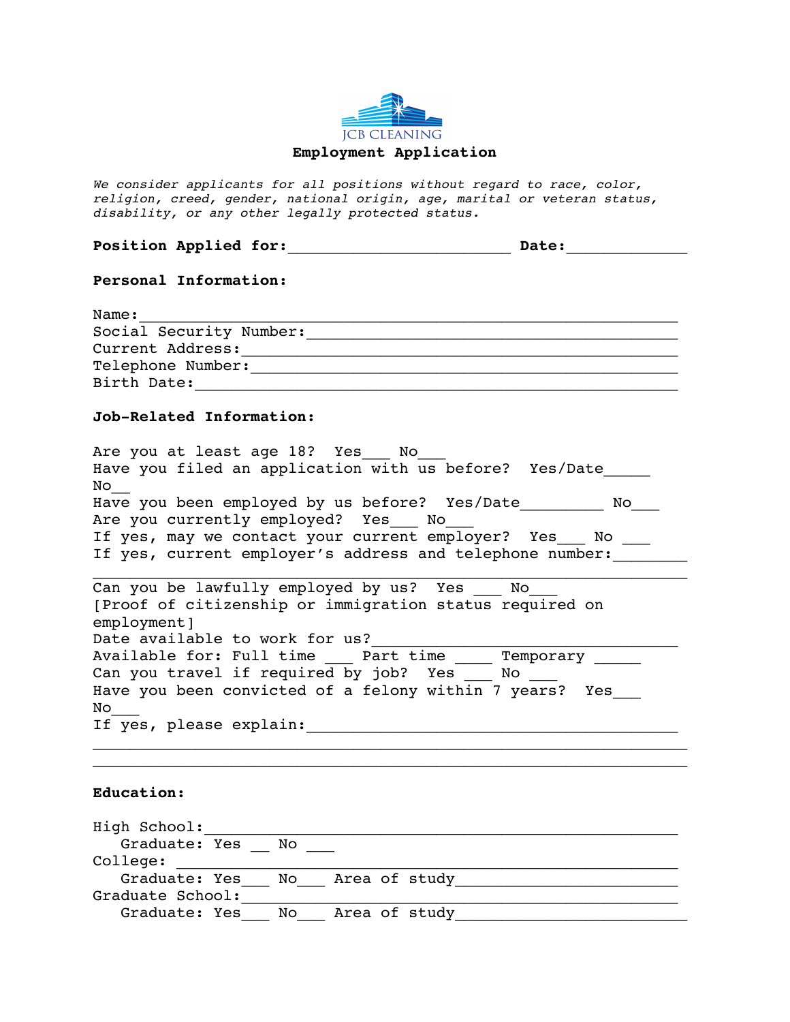

*We consider applicants for all positions without regard to race, color, religion, creed, gender, national origin, age, marital or veteran status, disability, or any other legally protected status.*

| Position Applied for: |  | Date: |
|-----------------------|--|-------|
|-----------------------|--|-------|

## **Personal Information:**

| Name:                   |
|-------------------------|
| Social Security Number: |
| Current Address:        |
| Telephone Number:       |
| Birth Date:             |

## **Job-Related Information:**

Are you at least age 18? Yes No Have you filed an application with us before? Yes/Date  $\overline{\text{No}}$ Have you been employed by us before? Yes/Date No\_\_\_\_\_\_\_ No\_\_\_\_ Are you currently employed? Yes No If yes, may we contact your current employer? Yes  $\sim$  No  $\sim$ If yes, current employer's address and telephone number:  $\mathcal{L}_\mathcal{L}$  , and the set of the set of the set of the set of the set of the set of the set of the set of the set of the set of the set of the set of the set of the set of the set of the set of the set of the set of th Can you be lawfully employed by us? Yes No [Proof of citizenship or immigration status required on employment] Date available to work for us? Available for: Full time \_\_\_\_ Part time \_\_\_\_\_ Temporary \_\_\_\_\_ Can you travel if required by job? Yes \_\_\_ No \_\_\_ Have you been convicted of a felony within 7 years? Yes

## **Education:**

No\_\_\_

High School:\_\_\_\_\_\_\_\_\_\_\_\_\_\_\_\_\_\_\_\_\_\_\_\_\_\_\_\_\_\_\_\_\_\_\_\_\_\_\_\_\_\_\_\_\_\_\_\_\_\_\_ Graduate: Yes \_\_ No \_\_\_  $\verb"college" : \; __________ \label{college}$  Graduate: Yes\_\_\_ No\_\_\_ Area of study\_\_\_\_\_\_\_\_\_\_\_\_\_\_\_\_\_\_\_\_\_\_\_\_ Graduate School:\_\_\_\_\_\_\_\_\_\_\_\_\_\_\_\_\_\_\_\_\_\_\_\_\_\_\_\_\_\_\_\_\_\_\_\_\_\_\_\_\_\_\_\_\_\_\_ Graduate: Yes No\_\_\_ Area of study

If yes, please explain: 18 and 19 and 19 and 19 and 19 and 19 and 19 and 19 and 19 and 19 and 19 and 19 and 19